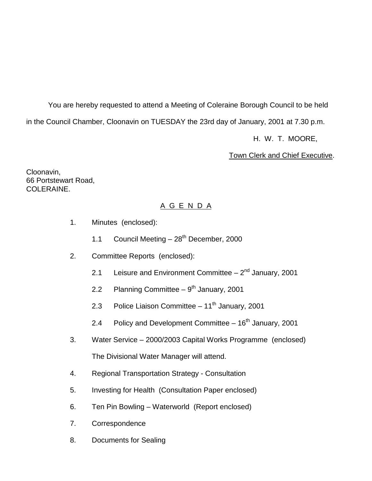You are hereby requested to attend a Meeting of Coleraine Borough Council to be held in the Council Chamber, Cloonavin on TUESDAY the 23rd day of January, 2001 at 7.30 p.m.

H. W. T. MOORE,

Town Clerk and Chief Executive.

Cloonavin, 66 Portstewart Road, COLERAINE.

# A G E N D A

- 1. Minutes (enclosed):
	- 1.1 Council Meeting  $-28^{th}$  December, 2000
- 2. Committee Reports (enclosed):
	- 2.1 Leisure and Environment Committee  $-2<sup>nd</sup>$  January, 2001
	- 2.2 Planning Committee  $9<sup>th</sup>$  January, 2001
	- 2.3 Police Liaison Committee  $-11^{th}$  January, 2001
	- 2.4 Policy and Development Committee  $-16<sup>th</sup>$  January, 2001
- 3. Water Service 2000/2003 Capital Works Programme (enclosed) The Divisional Water Manager will attend.
- 4. Regional Transportation Strategy Consultation
- 5. Investing for Health (Consultation Paper enclosed)
- 6. Ten Pin Bowling Waterworld (Report enclosed)
- 7. Correspondence
- 8. Documents for Sealing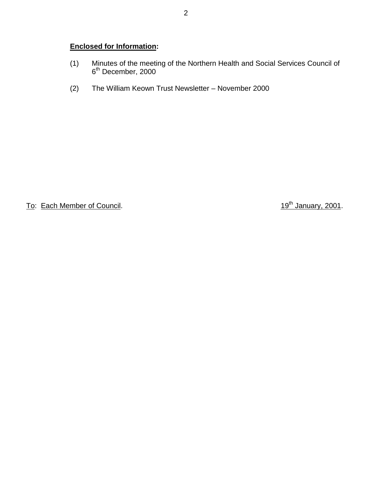# **Enclosed for Information:**

- (1) Minutes of the meeting of the Northern Health and Social Services Council of 6<sup>th</sup> December, 2000
- (2) The William Keown Trust Newsletter November 2000

To: Each Member of Council. To: Each Member of Council.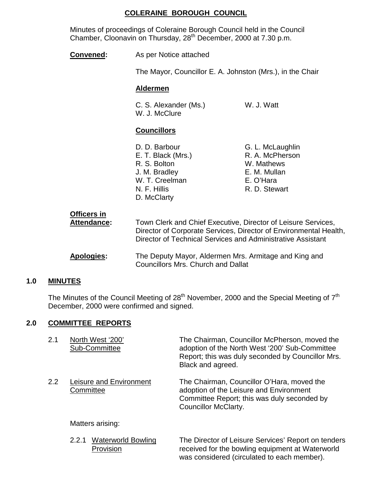# **COLERAINE BOROUGH COUNCIL**

Minutes of proceedings of Coleraine Borough Council held in the Council Chamber, Cloonavin on Thursday, 28<sup>th</sup> December, 2000 at 7.30 p.m.

| Convened:                         | As per Notice attached                                                                                                                                                                            |                                                                                                 |
|-----------------------------------|---------------------------------------------------------------------------------------------------------------------------------------------------------------------------------------------------|-------------------------------------------------------------------------------------------------|
|                                   | The Mayor, Councillor E. A. Johnston (Mrs.), in the Chair                                                                                                                                         |                                                                                                 |
|                                   | <b>Aldermen</b>                                                                                                                                                                                   |                                                                                                 |
|                                   | C. S. Alexander (Ms.)<br>W. J. McClure                                                                                                                                                            | W. J. Watt                                                                                      |
|                                   | <b>Councillors</b>                                                                                                                                                                                |                                                                                                 |
|                                   | D. D. Barbour<br>E. T. Black (Mrs.)<br>R. S. Bolton<br>J. M. Bradley<br>W. T. Creelman<br>N. F. Hillis<br>D. McClarty                                                                             | G. L. McLaughlin<br>R. A. McPherson<br>W. Mathews<br>E. M. Mullan<br>E. O'Hara<br>R. D. Stewart |
| <b>Officers in</b><br>Attendance: | Town Clerk and Chief Executive, Director of Leisure Services,<br>Director of Corporate Services, Director of Environmental Health,<br>Director of Technical Services and Administrative Assistant |                                                                                                 |
| <b>Apologies:</b>                 | The Deputy Mayor, Aldermen Mrs. Armitage and King and<br><b>Councillors Mrs. Church and Dallat</b>                                                                                                |                                                                                                 |

## **1.0 MINUTES**

The Minutes of the Council Meeting of  $28<sup>th</sup>$  November, 2000 and the Special Meeting of  $7<sup>th</sup>$ December, 2000 were confirmed and signed.

## **2.0 COMMITTEE REPORTS**

| 2.1 | North West '200'<br>Sub-Committee    | The Chairman, Councillor McPherson, moved the<br>adoption of the North West '200' Sub-Committee<br>Report; this was duly seconded by Councillor Mrs.<br>Black and agreed. |
|-----|--------------------------------------|---------------------------------------------------------------------------------------------------------------------------------------------------------------------------|
| 2.2 | Leisure and Environment<br>Committee | The Chairman, Councillor O'Hara, moved the<br>adoption of the Leisure and Environment<br>Committee Report; this was duly seconded by<br>Councillor McClarty.              |
|     | Matters arising:                     |                                                                                                                                                                           |

2.2.1 Waterworld Bowling The Director of Leisure Services' Report on tenders Provision **Provision** received for the bowling equipment at Waterworld was considered (circulated to each member).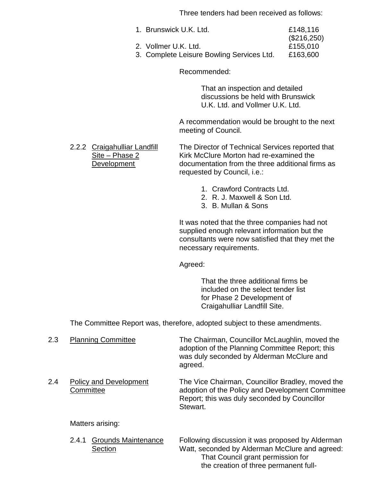Three tenders had been received as follows:

- 1. Brunswick U.K. Ltd. **E148,116** (\$216,250)
- 2. Vollmer U.K. Ltd. £155,010

3. Complete Leisure Bowling Services Ltd. £163,600

Recommended:

That an inspection and detailed discussions be held with Brunswick U.K. Ltd. and Vollmer U.K. Ltd.

A recommendation would be brought to the next meeting of Council.

2.2.2 Craigahulliar Landfill The Director of Technical Services reported that Site – Phase 2 Kirk McClure Morton had re-examined the<br>Development documentation from the three additional fir documentation from the three additional firms as requested by Council, i.e.:

- 1. Crawford Contracts Ltd.
- 2. R. J. Maxwell & Son Ltd.
- 3. B. Mullan & Sons

It was noted that the three companies had not supplied enough relevant information but the consultants were now satisfied that they met the necessary requirements.

Agreed:

That the three additional firms be included on the select tender list for Phase 2 Development of Craigahulliar Landfill Site.

The Committee Report was, therefore, adopted subject to these amendments.

2.3 Planning Committee The Chairman, Councillor McLaughlin, moved the adoption of the Planning Committee Report; this was duly seconded by Alderman McClure and agreed. 2.4 Policy and Development The Vice Chairman, Councillor Bradley, moved the Committee **Committee** adoption of the Policy and Development Committee Report; this was duly seconded by Councillor Stewart.

#### Matters arising:

2.4.1 Grounds Maintenance Following discussion it was proposed by Alderman Section Watt, seconded by Alderman McClure and agreed: That Council grant permission for the creation of three permanent full-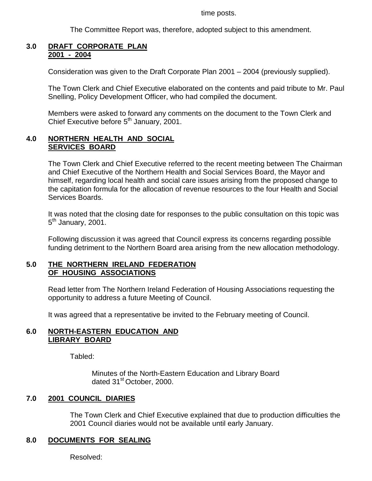time posts.

The Committee Report was, therefore, adopted subject to this amendment.

#### **3.0 DRAFT CORPORATE PLAN 2001 - 2004**

Consideration was given to the Draft Corporate Plan 2001 – 2004 (previously supplied).

The Town Clerk and Chief Executive elaborated on the contents and paid tribute to Mr. Paul Snelling, Policy Development Officer, who had compiled the document.

Members were asked to forward any comments on the document to the Town Clerk and Chief Executive before 5<sup>th</sup> January, 2001.

#### **4.0 NORTHERN HEALTH AND SOCIAL SERVICES BOARD**

The Town Clerk and Chief Executive referred to the recent meeting between The Chairman and Chief Executive of the Northern Health and Social Services Board, the Mayor and himself, regarding local health and social care issues arising from the proposed change to the capitation formula for the allocation of revenue resources to the four Health and Social Services Boards.

It was noted that the closing date for responses to the public consultation on this topic was  $5<sup>th</sup>$  January, 2001.

Following discussion it was agreed that Council express its concerns regarding possible funding detriment to the Northern Board area arising from the new allocation methodology.

## **5.0 THE NORTHERN IRELAND FEDERATION OF HOUSING ASSOCIATIONS**

Read letter from The Northern Ireland Federation of Housing Associations requesting the opportunity to address a future Meeting of Council.

It was agreed that a representative be invited to the February meeting of Council.

## **6.0 NORTH-EASTERN EDUCATION AND LIBRARY BOARD**

Tabled:

Minutes of the North-Eastern Education and Library Board dated 31<sup>st</sup> October, 2000.

## **7.0 2001 COUNCIL DIARIES**

The Town Clerk and Chief Executive explained that due to production difficulties the 2001 Council diaries would not be available until early January.

## **8.0 DOCUMENTS FOR SEALING**

Resolved: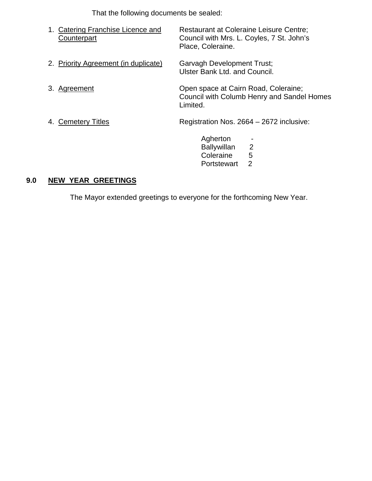That the following documents be sealed:

| 1. Catering Franchise Licence and<br>Counterpart | <b>Restaurant at Coleraine Leisure Centre;</b><br>Council with Mrs. L. Coyles, 7 St. John's<br>Place, Coleraine. |
|--------------------------------------------------|------------------------------------------------------------------------------------------------------------------|
| 2. Priority Agreement (in duplicate)             | <b>Garvagh Development Trust;</b><br>Ulster Bank Ltd. and Council.                                               |
| 3. Agreement                                     | Open space at Cairn Road, Coleraine;<br><b>Council with Columb Henry and Sandel Homes</b><br>Limited.            |
| 4. Cemetery Titles                               | Registration Nos. 2664 – 2672 inclusive:                                                                         |
|                                                  | Agherton<br>$\overline{2}$<br><b>Ballywillan</b><br>5<br>Coleraine<br>$\overline{2}$<br>Portstewart              |

# **9.0 NEW YEAR GREETINGS**

The Mayor extended greetings to everyone for the forthcoming New Year.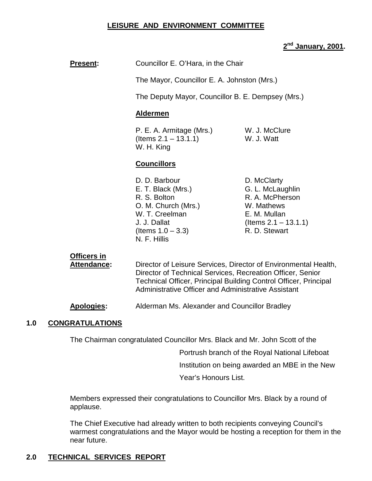#### **LEISURE AND ENVIRONMENT COMMITTEE**

# **2nd January, 2001.**

# **Present:** Councillor E. O'Hara, in the Chair

The Mayor, Councillor E. A. Johnston (Mrs.)

The Deputy Mayor, Councillor B. E. Dempsey (Mrs.)

#### **Aldermen**

P. E. A. Armitage (Mrs.) W. J. McClure (Items 2.1 – 13.1.1) W. J. Watt W. H. King

#### **Councillors**

- D. D. Barbour D. McClarty E. T. Black (Mrs.) G. L. McLaughlin R. S. Bolton R. A. McPherson O. M. Church (Mrs.) W. Mathews W. T. Creelman E. M. Mullan  $($ ltems  $1.0 - 3.3)$  R. D. Stewart N. F. Hillis
- J. J. Dallat (Items 2.1 13.1.1)

# **Officers in**

**Attendance:** Director of Leisure Services, Director of Environmental Health, Director of Technical Services, Recreation Officer, Senior Technical Officer, Principal Building Control Officer, Principal Administrative Officer and Administrative Assistant

**Apologies:** Alderman Ms. Alexander and Councillor Bradley

## **1.0 CONGRATULATIONS**

The Chairman congratulated Councillor Mrs. Black and Mr. John Scott of the

Portrush branch of the Royal National Lifeboat

Institution on being awarded an MBE in the New

Year's Honours List.

Members expressed their congratulations to Councillor Mrs. Black by a round of applause.

The Chief Executive had already written to both recipients conveying Council's warmest congratulations and the Mayor would be hosting a reception for them in the near future.

# **2.0 TECHNICAL SERVICES REPORT**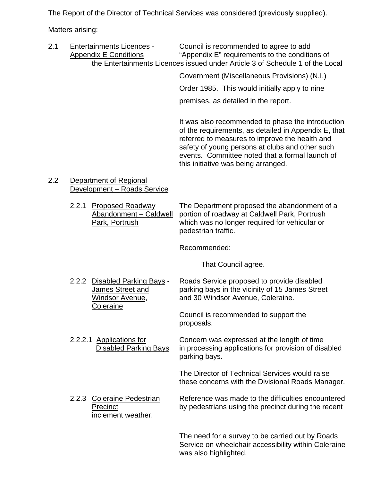The Report of the Director of Technical Services was considered (previously supplied).

Matters arising:

2.1 Entertainments Licences - Council is recommended to agree to add Appendix E Conditions "Appendix E" requirements to the conditions of the Entertainments Licences issued under Article 3 of Schedule 1 of the Local

> Government (Miscellaneous Provisions) (N.I.) Order 1985. This would initially apply to nine premises, as detailed in the report.

It was also recommended to phase the introduction of the requirements, as detailed in Appendix E, that referred to measures to improve the health and safety of young persons at clubs and other such events. Committee noted that a formal launch of this initiative was being arranged.

2.2 Department of Regional Development – Roads Service

> 2.2.1 Proposed Roadway The Department proposed the abandonment of a<br>Abandonment – Caldwell portion of roadway at Caldwell Park, Portrush portion of roadway at Caldwell Park, Portrush Park, Portrush which was no longer required for vehicular or pedestrian traffic.

> > Recommended:

That Council agree.

2.2.2 Disabled Parking Bays - Roads Service proposed to provide disabled James Street and parking bays in the vicinity of 15 James Street Windsor Avenue, and 30 Windsor Avenue, Coleraine. Coleraine Council is recommended to support the

proposals.

2.2.2.1 Applications for Concern was expressed at the length of time Disabled Parking Bays in processing applications for provision of disabled parking bays.

> The Director of Technical Services would raise these concerns with the Divisional Roads Manager.

2.2.3 Coleraine Pedestrian Reference was made to the difficulties encountered Precinct by pedestrians using the precinct during the recent inclement weather.

> The need for a survey to be carried out by Roads Service on wheelchair accessibility within Coleraine was also highlighted.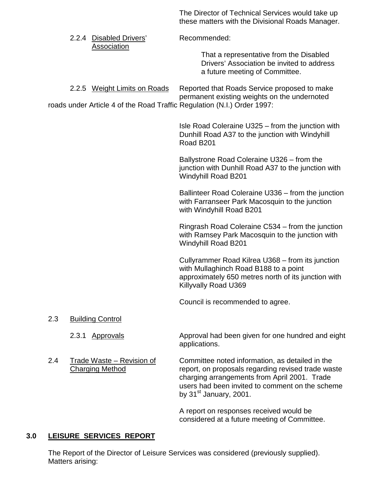The Director of Technical Services would take up these matters with the Divisional Roads Manager.

|     | 2.2.4 Disabled Drivers'<br>Association                                                                  | Recommended:                                                                                                                                                                                                                         |
|-----|---------------------------------------------------------------------------------------------------------|--------------------------------------------------------------------------------------------------------------------------------------------------------------------------------------------------------------------------------------|
|     |                                                                                                         | That a representative from the Disabled<br>Drivers' Association be invited to address<br>a future meeting of Committee.                                                                                                              |
|     | 2.2.5 Weight Limits on Roads<br>roads under Article 4 of the Road Traffic Regulation (N.I.) Order 1997: | Reported that Roads Service proposed to make<br>permanent existing weights on the undernoted                                                                                                                                         |
|     |                                                                                                         | Isle Road Coleraine U325 – from the junction with<br>Dunhill Road A37 to the junction with Windyhill<br>Road B201                                                                                                                    |
|     |                                                                                                         | Ballystrone Road Coleraine U326 - from the<br>junction with Dunhill Road A37 to the junction with<br><b>Windyhill Road B201</b>                                                                                                      |
|     |                                                                                                         | Ballinteer Road Coleraine U336 – from the junction<br>with Farranseer Park Macosquin to the junction<br>with Windyhill Road B201                                                                                                     |
|     |                                                                                                         | Ringrash Road Coleraine C534 – from the junction<br>with Ramsey Park Macosquin to the junction with<br><b>Windyhill Road B201</b>                                                                                                    |
|     |                                                                                                         | Cullyrammer Road Kilrea U368 – from its junction<br>with Mullaghinch Road B188 to a point<br>approximately 650 metres north of its junction with<br>Killyvally Road U369                                                             |
|     |                                                                                                         | Council is recommended to agree.                                                                                                                                                                                                     |
| 2.3 | <b>Building Control</b>                                                                                 |                                                                                                                                                                                                                                      |
|     | 2.3.1<br><b>Approvals</b>                                                                               | Approval had been given for one hundred and eight<br>applications.                                                                                                                                                                   |
| 2.4 | <u>Trade Waste – Revision of</u><br><b>Charging Method</b>                                              | Committee noted information, as detailed in the<br>report, on proposals regarding revised trade waste<br>charging arrangements from April 2001. Trade<br>users had been invited to comment on the scheme<br>by $31st$ January, 2001. |

A report on responses received would be considered at a future meeting of Committee.

# **3.0 LEISURE SERVICES REPORT**

The Report of the Director of Leisure Services was considered (previously supplied). Matters arising: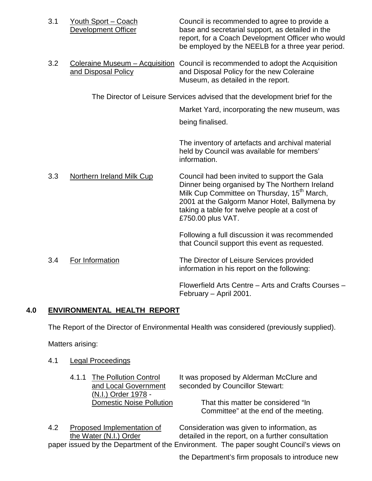| 3.1 | Youth Sport - Coach<br>Development Officer            | Council is recommended to agree to provide a<br>base and secretarial support, as detailed in the<br>report, for a Coach Development Officer who would<br>be employed by the NEELB for a three year period.                                                                       |
|-----|-------------------------------------------------------|----------------------------------------------------------------------------------------------------------------------------------------------------------------------------------------------------------------------------------------------------------------------------------|
| 3.2 | Coleraine Museum - Acquisition<br>and Disposal Policy | Council is recommended to adopt the Acquisition<br>and Disposal Policy for the new Coleraine<br>Museum, as detailed in the report.                                                                                                                                               |
|     |                                                       | The Director of Leisure Services advised that the development brief for the                                                                                                                                                                                                      |
|     |                                                       | Market Yard, incorporating the new museum, was                                                                                                                                                                                                                                   |
|     |                                                       | being finalised.                                                                                                                                                                                                                                                                 |
|     |                                                       | The inventory of artefacts and archival material<br>held by Council was available for members'<br>information.                                                                                                                                                                   |
| 3.3 | <b>Northern Ireland Milk Cup</b>                      | Council had been invited to support the Gala<br>Dinner being organised by The Northern Ireland<br>Milk Cup Committee on Thursday, 15 <sup>th</sup> March,<br>2001 at the Galgorm Manor Hotel, Ballymena by<br>taking a table for twelve people at a cost of<br>£750.00 plus VAT. |
|     |                                                       | Following a full discussion it was recommended<br>that Council support this event as requested.                                                                                                                                                                                  |
| 3.4 | For Information                                       | The Director of Leisure Services provided<br>information in his report on the following:                                                                                                                                                                                         |
|     |                                                       | Flowerfield Arts Centre - Arts and Crafts Courses -<br>February - April 2001.                                                                                                                                                                                                    |

# **4.0 ENVIRONMENTAL HEALTH REPORT**

The Report of the Director of Environmental Health was considered (previously supplied).

Matters arising:

- 4.1 Legal Proceedings
	- (N.I.) Order 1978 -<br>Domestic Noise Pollution

4.1.1 The Pollution Control It was proposed by Alderman McClure and and Local Government seconded by Councillor Stewart: seconded by Councillor Stewart:

> That this matter be considered "In Committee" at the end of the meeting.

4.2 Proposed Implementation of Consideration was given to information, as the Water (N.I.) Order detailed in the report, on a further consultation paper issued by the Department of the Environment. The paper sought Council's views on

the Department's firm proposals to introduce new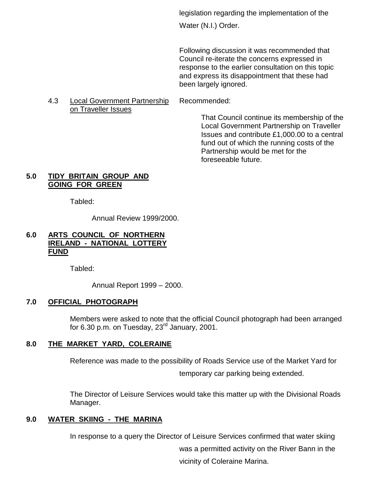legislation regarding the implementation of the

Water (N.I.) Order.

Following discussion it was recommended that Council re-iterate the concerns expressed in response to the earlier consultation on this topic and express its disappointment that these had been largely ignored.

#### 4.3 Local Government Partnership Recommended: on Traveller Issues

That Council continue its membership of the Local Government Partnership on Traveller Issues and contribute £1,000.00 to a central fund out of which the running costs of the Partnership would be met for the foreseeable future.

# **5.0 TIDY BRITAIN GROUP AND GOING FOR GREEN**

Tabled:

Annual Review 1999/2000.

# **6.0 ARTS COUNCIL OF NORTHERN IRELAND - NATIONAL LOTTERY FUND**

Tabled:

Annual Report 1999 – 2000.

# **7.0 OFFICIAL PHOTOGRAPH**

Members were asked to note that the official Council photograph had been arranged for 6.30 p.m. on Tuesday,  $23<sup>rd</sup>$  January, 2001.

# **8.0 THE MARKET YARD, COLERAINE**

Reference was made to the possibility of Roads Service use of the Market Yard for temporary car parking being extended.

The Director of Leisure Services would take this matter up with the Divisional Roads Manager.

# **9.0 WATER SKIING - THE MARINA**

In response to a query the Director of Leisure Services confirmed that water skiing was a permitted activity on the River Bann in the vicinity of Coleraine Marina.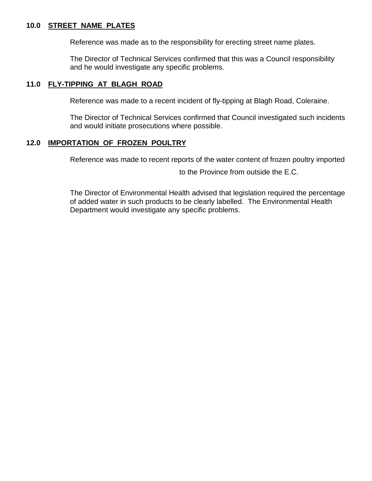#### **10.0 STREET NAME PLATES**

Reference was made as to the responsibility for erecting street name plates.

The Director of Technical Services confirmed that this was a Council responsibility and he would investigate any specific problems.

#### **11.0 FLY-TIPPING AT BLAGH ROAD**

Reference was made to a recent incident of fly-tipping at Blagh Road, Coleraine.

The Director of Technical Services confirmed that Council investigated such incidents and would initiate prosecutions where possible.

#### **12.0 IMPORTATION OF FROZEN POULTRY**

Reference was made to recent reports of the water content of frozen poultry imported

to the Province from outside the E.C.

The Director of Environmental Health advised that legislation required the percentage of added water in such products to be clearly labelled. The Environmental Health Department would investigate any specific problems.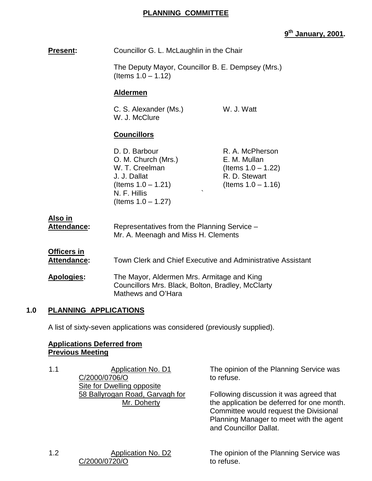# **PLANNING COMMITTEE**

# **9th January, 2001.**

| Present:                                 | Councillor G. L. McLaughlin in the Chair                                                                                                 |                                                                                                    |
|------------------------------------------|------------------------------------------------------------------------------------------------------------------------------------------|----------------------------------------------------------------------------------------------------|
|                                          | The Deputy Mayor, Councillor B. E. Dempsey (Mrs.)<br>(Items $1.0 - 1.12$ )                                                               |                                                                                                    |
|                                          | <b>Aldermen</b>                                                                                                                          |                                                                                                    |
|                                          | C. S. Alexander (Ms.)<br>W. J. McClure                                                                                                   | W. J. Watt                                                                                         |
|                                          | <b>Councillors</b>                                                                                                                       |                                                                                                    |
|                                          | D. D. Barbour<br>O. M. Church (Mrs.)<br>W. T. Creelman<br>J. J. Dallat<br>(Items $1.0 - 1.21$ )<br>N. F. Hillis<br>(Items $1.0 - 1.27$ ) | R. A. McPherson<br>E. M. Mullan<br>(Items $1.0 - 1.22$ )<br>R. D. Stewart<br>(Items $1.0 - 1.16$ ) |
| <u>Also in</u><br><u>Attendance:</u>     | Representatives from the Planning Service -<br>Mr. A. Meenagh and Miss H. Clements                                                       |                                                                                                    |
| <b>Officers in</b><br><b>Attendance:</b> | Town Clerk and Chief Executive and Administrative Assistant                                                                              |                                                                                                    |
| Apologies:                               | The Mayor, Aldermen Mrs. Armitage and King<br>Councillors Mrs. Black, Bolton, Bradley, McClarty<br>Mathews and O'Hara                    |                                                                                                    |
|                                          |                                                                                                                                          |                                                                                                    |

## **1.0 PLANNING APPLICATIONS**

A list of sixty-seven applications was considered (previously supplied).

#### **Applications Deferred from Previous Meeting**

1.1 Application No. D1 C/2000/0706/O **Site for Dwelling opposite** 58 Ballyrogan Road, Garvagh for Mr. Doherty

The opinion of the Planning Service was to refuse.

Following discussion it was agreed that the application be deferred for one month. Committee would request the Divisional Planning Manager to meet with the agent and Councillor Dallat.

1.2 Application No. D2 C/2000/0720/O

The opinion of the Planning Service was to refuse.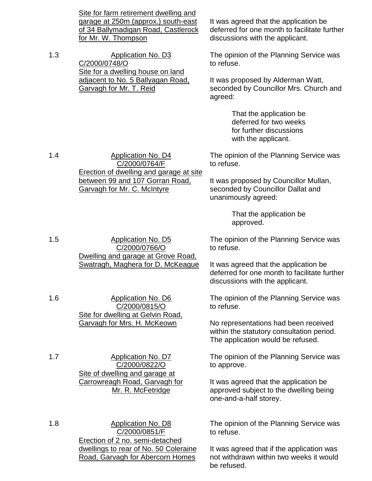Site for farm retirement dwelling and garage at 250m (approx.) south-east of 34 Ballymadigan Road, Castlerock for Mr. W. Thompson

C/2000/0764/F Erection of dwelling and garage at site between 99 and 107 Gorran Road,

1.3 Application No. D3 C/2000/0748/O Site for a dwelling house on land adjacent to No. 5 Ballyagan Road, Garvagh for Mr. T. Reid

1.4 Application No. D4

It was agreed that the application be deferred for one month to facilitate further discussions with the applicant.

The opinion of the Planning Service was to refuse.

It was proposed by Alderman Watt, seconded by Councillor Mrs. Church and agreed:

> That the application be deferred for two weeks for further discussions with the applicant.

The opinion of the Planning Service was to refuse.

It was proposed by Councillor Mullan, seconded by Councillor Dallat and unanimously agreed:

> That the application be approved.

The opinion of the Planning Service was to refuse.

It was agreed that the application be deferred for one month to facilitate further discussions with the applicant.

The opinion of the Planning Service was to refuse.

No representations had been received within the statutory consultation period. The application would be refused.

The opinion of the Planning Service was to approve.

It was agreed that the application be approved subject to the dwelling being one-and-a-half storey.

The opinion of the Planning Service was to refuse.

It was agreed that if the application was not withdrawn within two weeks it would be refused.

1.5 Application No. D5 C/2000/0766/O Dwelling and garage at Grove Road, Swatragh, Maghera for D. McKeague

Garvagh for Mr. C. McIntyre

1.6 Application No. D6 C/2000/0815/O Site for dwelling at Gelvin Road, Garvagh for Mrs. H. McKeown

1.7 Application No. D7 C/2000/0822/O Site of dwelling and garage at Carrowreagh Road, Garvagh for Mr. R. McFetridge

1.8 **Application No. D8** C/2000/0851/F Erection of 2 no. semi-detached dwellings to rear of No. 50 Coleraine Road, Garvagh for Abercorn Homes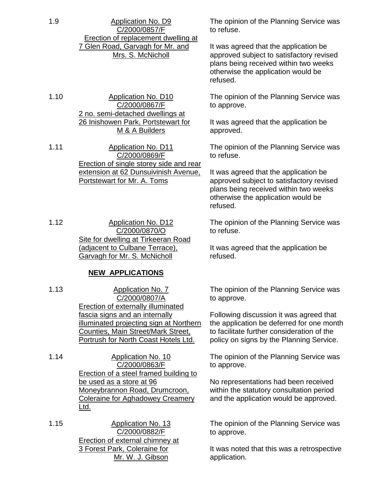1.9 Application No. D9 C/2000/0857/F Erection of replacement dwelling at 7 Glen Road, Garvagh for Mr. and Mrs. S. McNicholl

1.10 Application No. D10 C/2000/0867/F 2 no. semi-detached dwellings at 26 Inishowen Park, Portstewart for M & A Builders

1.11 Application No. D11 C/2000/0869/F Erection of single storey side and rear extension at 62 Dunsuivinish Avenue, Portstewart for Mr. A. Toms

1.12 Application No. D12 C/2000/0870/O Site for dwelling at Tirkeeran Road (adjacent to Culbane Terrace), Garvagh for Mr. S. McNicholl

# **NEW APPLICATIONS**

1.13 Application No. 7 C/2000/0807/A Erection of externally illuminated fascia signs and an internally illuminated projecting sign at Northern Counties, Main Street/Mark Street, Portrush for North Coast Hotels Ltd.

1.14 Application No. 10 C/2000/0863/F Erection of a steel framed building to be used as a store at 96 Moneybrannon Road, Drumcroon, Coleraine for Aghadowey Creamery Ltd.

1.15 Application No. 13 C/2000/0882/F Erection of external chimney at 3 Forest Park, Coleraine for Mr. W. J. Gibson

The opinion of the Planning Service was to refuse.

It was agreed that the application be approved subject to satisfactory revised plans being received within two weeks otherwise the application would be refused.

The opinion of the Planning Service was to approve.

It was agreed that the application be approved.

The opinion of the Planning Service was to refuse.

It was agreed that the application be approved subject to satisfactory revised plans being received within two weeks otherwise the application would be refused.

The opinion of the Planning Service was to refuse.

It was agreed that the application be refused.

The opinion of the Planning Service was to approve.

Following discussion it was agreed that the application be deferred for one month to facilitate further consideration of the policy on signs by the Planning Service.

The opinion of the Planning Service was to approve.

No representations had been received within the statutory consultation period and the application would be approved.

The opinion of the Planning Service was to approve.

It was noted that this was a retrospective application.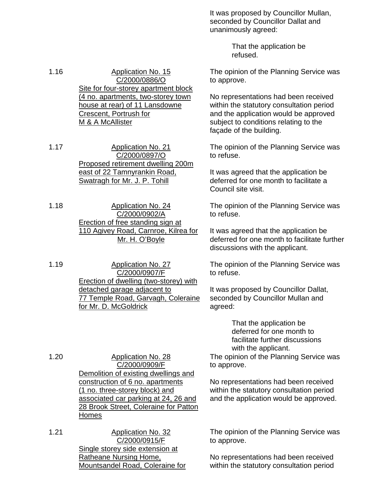It was proposed by Councillor Mullan, seconded by Councillor Dallat and unanimously agreed:

> That the application be refused.

The opinion of the Planning Service was to approve.

No representations had been received within the statutory consultation period and the application would be approved subject to conditions relating to the façade of the building.

The opinion of the Planning Service was to refuse.

It was agreed that the application be deferred for one month to facilitate a Council site visit.

The opinion of the Planning Service was to refuse.

It was agreed that the application be deferred for one month to facilitate further discussions with the applicant.

The opinion of the Planning Service was to refuse.

It was proposed by Councillor Dallat, seconded by Councillor Mullan and agreed:

> That the application be deferred for one month to facilitate further discussions with the applicant.

The opinion of the Planning Service was to approve.

No representations had been received within the statutory consultation period and the application would be approved.

The opinion of the Planning Service was to approve.

No representations had been received within the statutory consultation period

1.16 Application No. 15 C/2000/0886/O Site for four-storey apartment block (4 no. apartments, two-storey town house at rear) of 11 Lansdowne Crescent, Portrush for M & A McAllister

1.17 Application No. 21 C/2000/0897/O Proposed retirement dwelling 200m east of 22 Tamnyrankin Road, Swatragh for Mr. J. P. Tohill

1.18 Application No. 24 C/2000/0902/A Erection of free standing sign at 110 Agivey Road, Carnroe, Kilrea for Mr. H. O'Boyle

1.19 Application No. 27 C/2000/0907/F Erection of dwelling (two-storey) with detached garage adjacent to 77 Temple Road, Garvagh, Coleraine for Mr. D. McGoldrick

1.20 Application No. 28 C/2000/0909/F Demolition of existing dwellings and construction of 6 no. apartments (1 no. three-storey block) and associated car parking at 24, 26 and 28 Brook Street, Coleraine for Patton Homes

1.21 Application No. 32 C/2000/0915/F Single storey side extension at Ratheane Nursing Home, Mountsandel Road, Coleraine for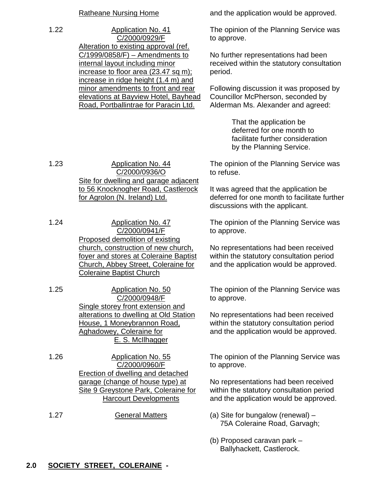1.22 Application No. 41 C/2000/0929/F Alteration to existing approval (ref. C/1999/0858/F) – Amendments to internal layout including minor increase to floor area (23.47 sq m): increase in ridge height (1.4 m) and minor amendments to front and rear elevations at Bayview Hotel, Bayhead Road, Portballintrae for Paracin Ltd.

Ratheane Nursing Home and the application would be approved.

The opinion of the Planning Service was to approve.

No further representations had been received within the statutory consultation period.

Following discussion it was proposed by Councillor McPherson, seconded by Alderman Ms. Alexander and agreed:

> That the application be deferred for one month to facilitate further consideration by the Planning Service.

The opinion of the Planning Service was to refuse.

It was agreed that the application be deferred for one month to facilitate further discussions with the applicant.

The opinion of the Planning Service was to approve.

No representations had been received within the statutory consultation period and the application would be approved.

The opinion of the Planning Service was to approve.

No representations had been received within the statutory consultation period and the application would be approved.

The opinion of the Planning Service was to approve.

No representations had been received within the statutory consultation period and the application would be approved.

- 75A Coleraine Road, Garvagh;
- (b) Proposed caravan park Ballyhackett, Castlerock.

1.23 Application No. 44 C/2000/0936/O Site for dwelling and garage adjacent to 56 Knocknogher Road, Castlerock for Agrolon (N. Ireland) Ltd.

1.24 Application No. 47 C/2000/0941/F Proposed demolition of existing church, construction of new church, foyer and stores at Coleraine Baptist Church, Abbey Street, Coleraine for Coleraine Baptist Church

1.25 Application No. 50 C/2000/0948/F Single storey front extension and alterations to dwelling at Old Station House, 1 Moneybrannon Road, Aghadowey, Coleraine for E. S. McIlhagger

1.26 Application No. 55 C/2000/0960/F Erection of dwelling and detached garage (change of house type) at Site 9 Greystone Park, Coleraine for Harcourt Developments

1.27 **General Matters** (a) Site for bungalow (renewal) –

# **2.0 SOCIETY STREET, COLERAINE -**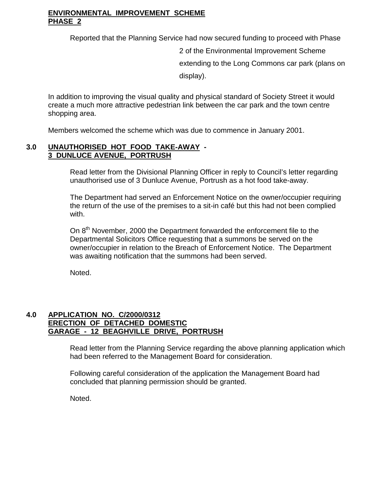# **ENVIRONMENTAL IMPROVEMENT SCHEME PHASE 2**

Reported that the Planning Service had now secured funding to proceed with Phase

2 of the Environmental Improvement Scheme extending to the Long Commons car park (plans on display).

In addition to improving the visual quality and physical standard of Society Street it would create a much more attractive pedestrian link between the car park and the town centre shopping area.

Members welcomed the scheme which was due to commence in January 2001.

# **3.0 UNAUTHORISED HOT FOOD TAKE-AWAY - 3 DUNLUCE AVENUE, PORTRUSH**

Read letter from the Divisional Planning Officer in reply to Council's letter regarding unauthorised use of 3 Dunluce Avenue, Portrush as a hot food take-away.

The Department had served an Enforcement Notice on the owner/occupier requiring the return of the use of the premises to a sit-in café but this had not been complied with.

On 8<sup>th</sup> November, 2000 the Department forwarded the enforcement file to the Departmental Solicitors Office requesting that a summons be served on the owner/occupier in relation to the Breach of Enforcement Notice. The Department was awaiting notification that the summons had been served.

Noted.

## **4.0 APPLICATION NO. C/2000/0312 ERECTION OF DETACHED DOMESTIC GARAGE - 12 BEAGHVILLE DRIVE, PORTRUSH**

Read letter from the Planning Service regarding the above planning application which had been referred to the Management Board for consideration.

Following careful consideration of the application the Management Board had concluded that planning permission should be granted.

Noted.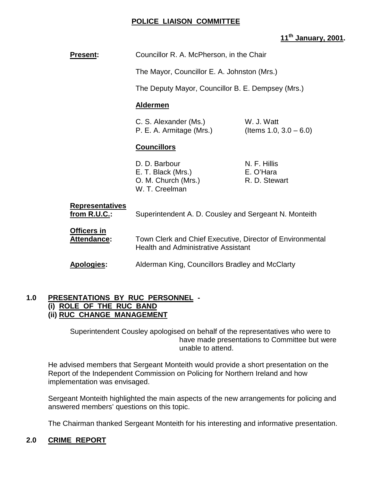# **POLICE LIAISON COMMITTEE**

# **11th January, 2001.**

| <b>Present:</b>                               | Councillor R. A. McPherson, in the Chair                                                                |                                            |  |
|-----------------------------------------------|---------------------------------------------------------------------------------------------------------|--------------------------------------------|--|
|                                               | The Mayor, Councillor E. A. Johnston (Mrs.)                                                             |                                            |  |
|                                               | The Deputy Mayor, Councillor B. E. Dempsey (Mrs.)                                                       |                                            |  |
|                                               | <b>Aldermen</b>                                                                                         |                                            |  |
|                                               | W. J. Watt<br>C. S. Alexander (Ms.)<br>P. E. A. Armitage (Mrs.)<br>(Items 1.0, $3.0 - 6.0$ )            |                                            |  |
|                                               | <b>Councillors</b>                                                                                      |                                            |  |
|                                               | D. D. Barbour<br>E. T. Black (Mrs.)<br>O. M. Church (Mrs.)<br>W. T. Creelman                            | N. F. Hillis<br>E. O'Hara<br>R. D. Stewart |  |
| <b>Representatives</b><br><u>from R.U.C.:</u> | Superintendent A. D. Cousley and Sergeant N. Monteith                                                   |                                            |  |
| Officers in<br><b>Attendance:</b>             | Town Clerk and Chief Executive, Director of Environmental<br><b>Health and Administrative Assistant</b> |                                            |  |
| <b>Apologies:</b>                             | Alderman King, Councillors Bradley and McClarty                                                         |                                            |  |

#### **1.0 PRESENTATIONS BY RUC PERSONNEL - (i) ROLE OF THE RUC BAND (ii) RUC CHANGE MANAGEMENT**

Superintendent Cousley apologised on behalf of the representatives who were to have made presentations to Committee but were unable to attend.

He advised members that Sergeant Monteith would provide a short presentation on the Report of the Independent Commission on Policing for Northern Ireland and how implementation was envisaged.

Sergeant Monteith highlighted the main aspects of the new arrangements for policing and answered members' questions on this topic.

The Chairman thanked Sergeant Monteith for his interesting and informative presentation.

# **2.0 CRIME REPORT**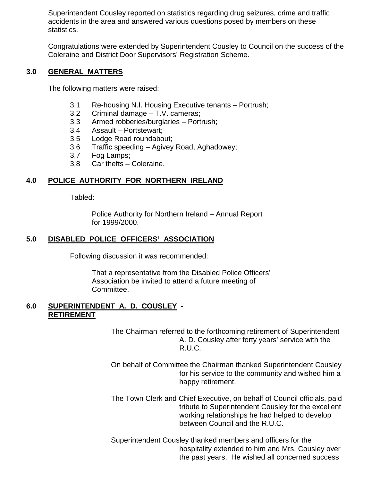Superintendent Cousley reported on statistics regarding drug seizures, crime and traffic accidents in the area and answered various questions posed by members on these statistics.

Congratulations were extended by Superintendent Cousley to Council on the success of the Coleraine and District Door Supervisors' Registration Scheme.

## **3.0 GENERAL MATTERS**

The following matters were raised:

- 3.1 Re-housing N.I. Housing Executive tenants Portrush;
- 3.2 Criminal damage T.V. cameras;
- 3.3 Armed robberies/burglaries Portrush;
- 3.4 Assault Portstewart;
- 3.5 Lodge Road roundabout;
- 3.6 Traffic speeding Agivey Road, Aghadowey;
- 3.7 Fog Lamps;
- 3.8 Car thefts Coleraine.

## **4.0 POLICE AUTHORITY FOR NORTHERN IRELAND**

Tabled:

Police Authority for Northern Ireland – Annual Report for 1999/2000.

## **5.0 DISABLED POLICE OFFICERS' ASSOCIATION**

Following discussion it was recommended:

That a representative from the Disabled Police Officers' Association be invited to attend a future meeting of Committee.

#### **6.0 SUPERINTENDENT A. D. COUSLEY - RETIREMENT**

The Chairman referred to the forthcoming retirement of Superintendent A. D. Cousley after forty years' service with the R.U.C.

- On behalf of Committee the Chairman thanked Superintendent Cousley for his service to the community and wished him a happy retirement.
- The Town Clerk and Chief Executive, on behalf of Council officials, paid tribute to Superintendent Cousley for the excellent working relationships he had helped to develop between Council and the R.U.C.

Superintendent Cousley thanked members and officers for the hospitality extended to him and Mrs. Cousley over the past years. He wished all concerned success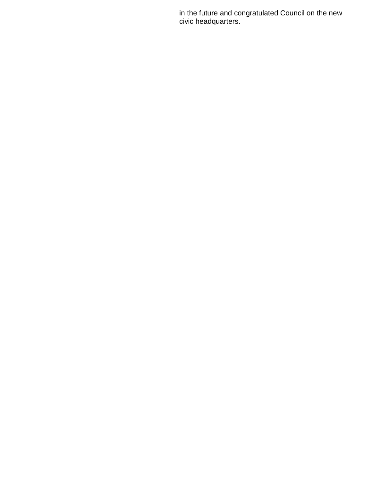in the future and congratulated Council on the new civic headquarters.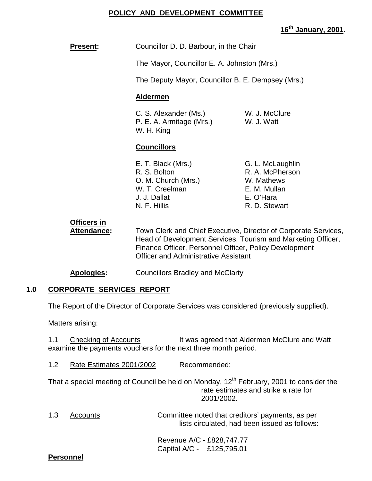# **POLICY AND DEVELOPMENT COMMITTEE**

# **16th January, 2001.**

|     | <b>Present:</b>                                                                                                                                      | Councillor D. D. Barbour, in the Chair                                                                                                                     |                                                                                                                                 |
|-----|------------------------------------------------------------------------------------------------------------------------------------------------------|------------------------------------------------------------------------------------------------------------------------------------------------------------|---------------------------------------------------------------------------------------------------------------------------------|
|     |                                                                                                                                                      | The Mayor, Councillor E. A. Johnston (Mrs.)                                                                                                                |                                                                                                                                 |
|     |                                                                                                                                                      | The Deputy Mayor, Councillor B. E. Dempsey (Mrs.)                                                                                                          |                                                                                                                                 |
|     |                                                                                                                                                      | <b>Aldermen</b>                                                                                                                                            |                                                                                                                                 |
|     |                                                                                                                                                      | C. S. Alexander (Ms.)<br>P. E. A. Armitage (Mrs.)<br>W. H. King                                                                                            | W. J. McClure<br>W. J. Watt                                                                                                     |
|     |                                                                                                                                                      | <b>Councillors</b>                                                                                                                                         |                                                                                                                                 |
|     |                                                                                                                                                      | E. T. Black (Mrs.)<br>R. S. Bolton<br>O. M. Church (Mrs.)<br>W. T. Creelman<br>J. J. Dallat<br>N. F. Hillis                                                | G. L. McLaughlin<br>R. A. McPherson<br>W. Mathews<br>E. M. Mullan<br>E. O'Hara<br>R. D. Stewart                                 |
|     | <b>Officers in</b><br><b>Attendance:</b>                                                                                                             | Finance Officer, Personnel Officer, Policy Development<br><b>Officer and Administrative Assistant</b>                                                      | Town Clerk and Chief Executive, Director of Corporate Services,<br>Head of Development Services, Tourism and Marketing Officer, |
|     | Apologies:                                                                                                                                           | <b>Councillors Bradley and McClarty</b>                                                                                                                    |                                                                                                                                 |
| 1.0 | <b>CORPORATE SERVICES REPORT</b>                                                                                                                     |                                                                                                                                                            |                                                                                                                                 |
|     | The Report of the Director of Corporate Services was considered (previously supplied).                                                               |                                                                                                                                                            |                                                                                                                                 |
|     | Matters arising:                                                                                                                                     |                                                                                                                                                            |                                                                                                                                 |
|     | 1.1<br><b>Checking of Accounts</b><br>It was agreed that Aldermen McClure and Watt<br>examine the payments vouchers for the next three month period. |                                                                                                                                                            |                                                                                                                                 |
|     | 1.2<br>Recommended:<br>Rate Estimates 2001/2002                                                                                                      |                                                                                                                                                            |                                                                                                                                 |
|     |                                                                                                                                                      | That a special meeting of Council be held on Monday, 12 <sup>th</sup> February, 2001 to consider the<br>rate estimates and strike a rate for<br>2001/2002. |                                                                                                                                 |
|     | 1.3<br><b>Accounts</b>                                                                                                                               |                                                                                                                                                            | Committee noted that creditors' payments, as per<br>lists circulated, had been issued as follows:                               |

Revenue A/C - £828,747.77 Capital A/C - £125,795.01

# **Personnel**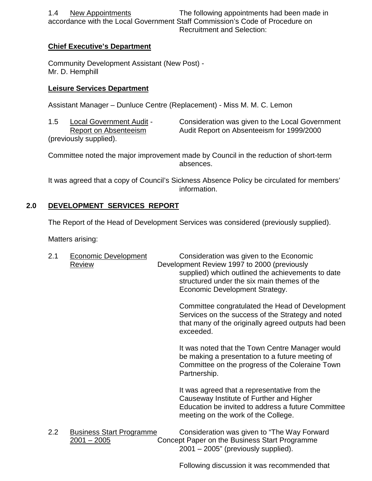1.4 New Appointments The following appointments had been made in accordance with the Local Government Staff Commission's Code of Procedure on Recruitment and Selection:

# **Chief Executive's Department**

Community Development Assistant (New Post) - Mr. D. Hemphill

# **Leisure Services Department**

Assistant Manager – Dunluce Centre (Replacement) - Miss M. M. C. Lemon

(previously supplied).

1.5 Local Government Audit - Consideration was given to the Local Government Report on Absenteeism Audit Report on Absenteeism for 1999/2000

Committee noted the major improvement made by Council in the reduction of short-term absences.

It was agreed that a copy of Council's Sickness Absence Policy be circulated for members' information.

# **2.0 DEVELOPMENT SERVICES REPORT**

The Report of the Head of Development Services was considered (previously supplied).

Matters arising:

| 2.1 | <b>Economic Development</b><br><u>Review</u>   | Consideration was given to the Economic<br>Development Review 1997 to 2000 (previously<br>supplied) which outlined the achievements to date<br>structured under the six main themes of the<br>Economic Development Strategy. |
|-----|------------------------------------------------|------------------------------------------------------------------------------------------------------------------------------------------------------------------------------------------------------------------------------|
|     |                                                | Committee congratulated the Head of Development<br>Services on the success of the Strategy and noted<br>that many of the originally agreed outputs had been<br>exceeded.                                                     |
|     |                                                | It was noted that the Town Centre Manager would<br>be making a presentation to a future meeting of<br>Committee on the progress of the Coleraine Town<br>Partnership.                                                        |
|     |                                                | It was agreed that a representative from the<br>Causeway Institute of Further and Higher<br>Education be invited to address a future Committee<br>meeting on the work of the College.                                        |
| 2.2 | <b>Business Start Programme</b><br>2001 - 2005 | Consideration was given to "The Way Forward<br>Concept Paper on the Business Start Programme<br>2001 – 2005" (previously supplied).                                                                                          |

Following discussion it was recommended that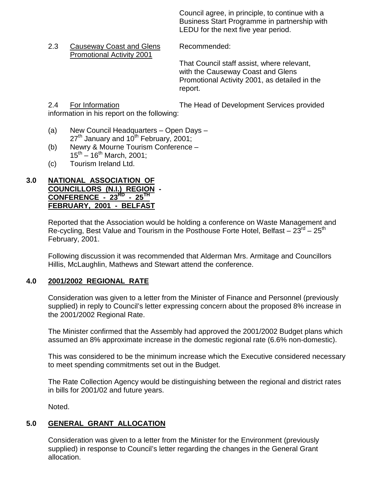Council agree, in principle, to continue with a Business Start Programme in partnership with LEDU for the next five year period.

2.3 Causeway Coast and Glens Recommended: Promotional Activity 2001

That Council staff assist, where relevant, with the Causeway Coast and Glens Promotional Activity 2001, as detailed in the report.

2.4 For Information The Head of Development Services provided

information in his report on the following:

- (a) New Council Headquarters Open Days  $27<sup>th</sup>$  January and 10<sup>th</sup> February, 2001;
- (b) Newry & Mourne Tourism Conference  $15^{th} - 16^{th}$  March, 2001;
- (c) Tourism Ireland Ltd.

# **3.0 NATIONAL ASSOCIATION OF COUNCILLORS (N.I.) REGION -**

**CONFERENCE - 23<sup>RD</sup> - 25<sup>TH</sup> FEBRUARY, 2001 - BELFAST**

Reported that the Association would be holding a conference on Waste Management and Re-cycling, Best Value and Tourism in the Posthouse Forte Hotel, Belfast –  $23^{\text{rd}}$  –  $25^{\text{th}}$ February, 2001.

Following discussion it was recommended that Alderman Mrs. Armitage and Councillors Hillis, McLaughlin, Mathews and Stewart attend the conference.

# **4.0 2001/2002 REGIONAL RATE**

Consideration was given to a letter from the Minister of Finance and Personnel (previously supplied) in reply to Council's letter expressing concern about the proposed 8% increase in the 2001/2002 Regional Rate.

The Minister confirmed that the Assembly had approved the 2001/2002 Budget plans which assumed an 8% approximate increase in the domestic regional rate (6.6% non-domestic).

This was considered to be the minimum increase which the Executive considered necessary to meet spending commitments set out in the Budget.

The Rate Collection Agency would be distinguishing between the regional and district rates in bills for 2001/02 and future years.

Noted.

# **5.0 GENERAL GRANT ALLOCATION**

Consideration was given to a letter from the Minister for the Environment (previously supplied) in response to Council's letter regarding the changes in the General Grant allocation.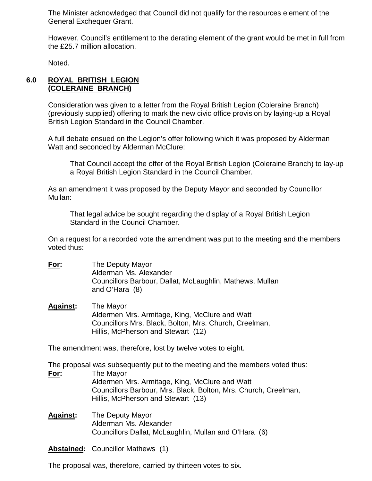The Minister acknowledged that Council did not qualify for the resources element of the General Exchequer Grant.

However, Council's entitlement to the derating element of the grant would be met in full from the £25.7 million allocation.

Noted.

# **6.0 ROYAL BRITISH LEGION (COLERAINE BRANCH)**

Consideration was given to a letter from the Royal British Legion (Coleraine Branch) (previously supplied) offering to mark the new civic office provision by laying-up a Royal British Legion Standard in the Council Chamber.

A full debate ensued on the Legion's offer following which it was proposed by Alderman Watt and seconded by Alderman McClure:

That Council accept the offer of the Royal British Legion (Coleraine Branch) to lay-up a Royal British Legion Standard in the Council Chamber.

As an amendment it was proposed by the Deputy Mayor and seconded by Councillor Mullan:

That legal advice be sought regarding the display of a Royal British Legion Standard in the Council Chamber.

On a request for a recorded vote the amendment was put to the meeting and the members voted thus:

- **For:** The Deputy Mayor Alderman Ms. Alexander Councillors Barbour, Dallat, McLaughlin, Mathews, Mullan and O'Hara (8)
- **Against:** The Mayor Aldermen Mrs. Armitage, King, McClure and Watt Councillors Mrs. Black, Bolton, Mrs. Church, Creelman, Hillis, McPherson and Stewart (12)

The amendment was, therefore, lost by twelve votes to eight.

The proposal was subsequently put to the meeting and the members voted thus: **For:** The Mayor Aldermen Mrs. Armitage, King, McClure and Watt Councillors Barbour, Mrs. Black, Bolton, Mrs. Church, Creelman, Hillis, McPherson and Stewart (13)

**Against:** The Deputy Mayor Alderman Ms. Alexander Councillors Dallat, McLaughlin, Mullan and O'Hara (6)

**Abstained:** Councillor Mathews (1)

The proposal was, therefore, carried by thirteen votes to six.